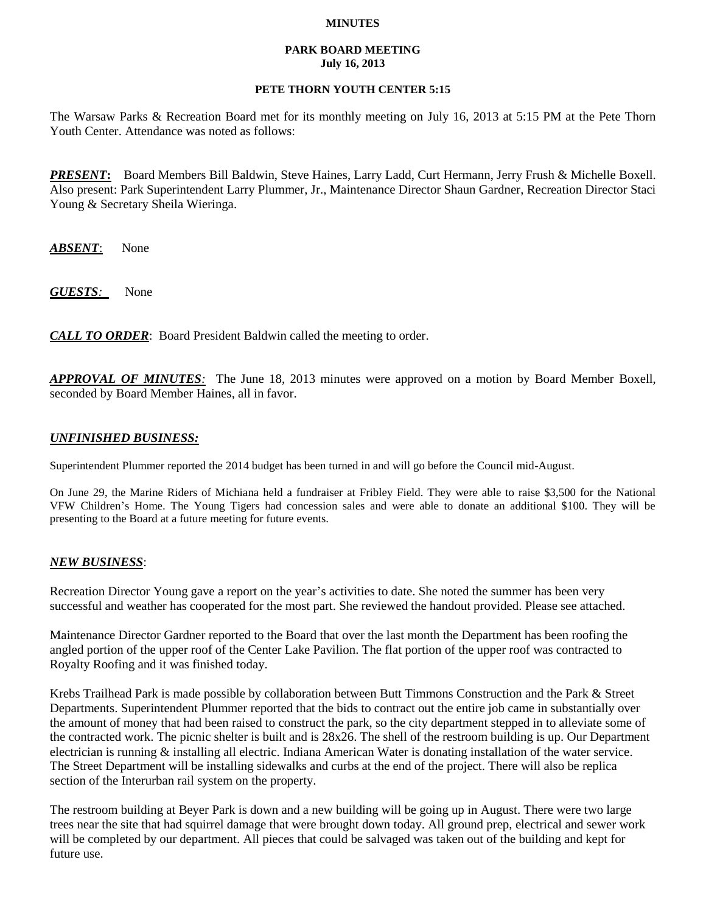#### **MINUTES**

#### **PARK BOARD MEETING July 16, 2013**

# **PETE THORN YOUTH CENTER 5:15**

The Warsaw Parks & Recreation Board met for its monthly meeting on July 16, 2013 at 5:15 PM at the Pete Thorn Youth Center. Attendance was noted as follows:

*PRESENT***:** Board Members Bill Baldwin, Steve Haines, Larry Ladd, Curt Hermann, Jerry Frush & Michelle Boxell. Also present: Park Superintendent Larry Plummer, Jr., Maintenance Director Shaun Gardner, Recreation Director Staci Young & Secretary Sheila Wieringa.

*ABSENT*: None

*GUESTS:*None

*CALL TO ORDER*: Board President Baldwin called the meeting to order.

*APPROVAL OF MINUTES:* The June 18, 2013 minutes were approved on a motion by Board Member Boxell, seconded by Board Member Haines, all in favor.

# *UNFINISHED BUSINESS:*

Superintendent Plummer reported the 2014 budget has been turned in and will go before the Council mid-August.

On June 29, the Marine Riders of Michiana held a fundraiser at Fribley Field. They were able to raise \$3,500 for the National VFW Children's Home. The Young Tigers had concession sales and were able to donate an additional \$100. They will be presenting to the Board at a future meeting for future events.

### *NEW BUSINESS*:

Recreation Director Young gave a report on the year's activities to date. She noted the summer has been very successful and weather has cooperated for the most part. She reviewed the handout provided. Please see attached.

Maintenance Director Gardner reported to the Board that over the last month the Department has been roofing the angled portion of the upper roof of the Center Lake Pavilion. The flat portion of the upper roof was contracted to Royalty Roofing and it was finished today.

Krebs Trailhead Park is made possible by collaboration between Butt Timmons Construction and the Park & Street Departments. Superintendent Plummer reported that the bids to contract out the entire job came in substantially over the amount of money that had been raised to construct the park, so the city department stepped in to alleviate some of the contracted work. The picnic shelter is built and is 28x26. The shell of the restroom building is up. Our Department electrician is running & installing all electric. Indiana American Water is donating installation of the water service. The Street Department will be installing sidewalks and curbs at the end of the project. There will also be replica section of the Interurban rail system on the property.

The restroom building at Beyer Park is down and a new building will be going up in August. There were two large trees near the site that had squirrel damage that were brought down today. All ground prep, electrical and sewer work will be completed by our department. All pieces that could be salvaged was taken out of the building and kept for future use.